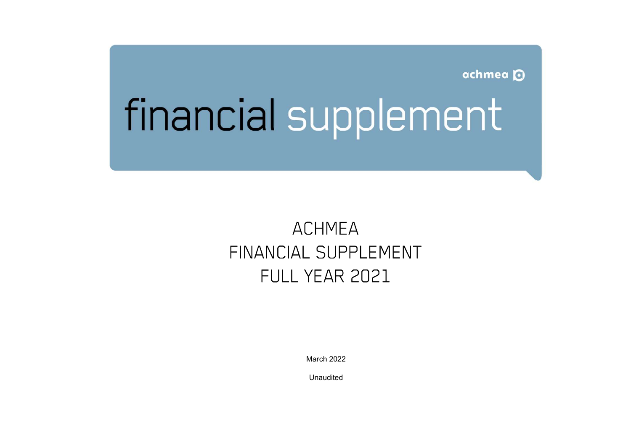achmea<sup>O</sup>

# financial supplement

# ACHMEA FINANCIAL SUPPLEMENT FULL YEAR 2021

March 2022

Unaudited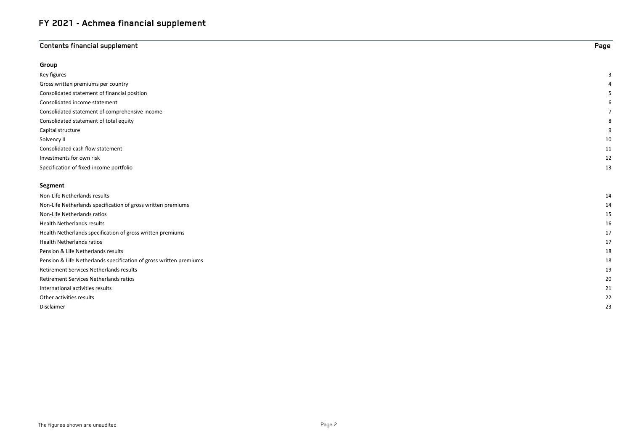# **Contents financial supplement** Page

| Group                                                              |    |
|--------------------------------------------------------------------|----|
| Key figures                                                        | 3  |
| Gross written premiums per country                                 | 4  |
| Consolidated statement of financial position                       | 5  |
| Consolidated income statement                                      | 6  |
| Consolidated statement of comprehensive income                     | 7  |
| Consolidated statement of total equity                             | 8  |
| Capital structure                                                  | 9  |
| Solvency II                                                        | 10 |
| Consolidated cash flow statement                                   | 11 |
| Investments for own risk                                           | 12 |
| Specification of fixed-income portfolio                            | 13 |
|                                                                    |    |
| Segment                                                            |    |
| Non-Life Netherlands results                                       | 14 |
| Non-Life Netherlands specification of gross written premiums       | 14 |
| Non-Life Netherlands ratios                                        | 15 |
| <b>Health Netherlands results</b>                                  | 16 |
| Health Netherlands specification of gross written premiums         | 17 |
| <b>Health Netherlands ratios</b>                                   | 17 |
| Pension & Life Netherlands results                                 | 18 |
| Pension & Life Netherlands specification of gross written premiums | 18 |

Retirement Services Netherlands results 19 Retirement Services Netherlands ratios 20 International activities results 21 Other activities results 22 Disclaimer 23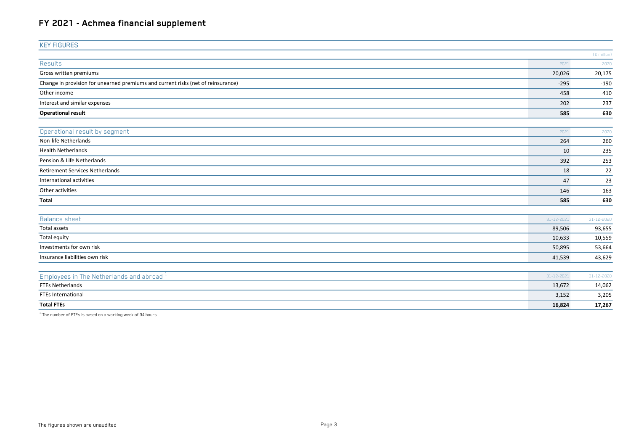| <b>KEY FIGURES</b>                                                               |            |                       |
|----------------------------------------------------------------------------------|------------|-----------------------|
|                                                                                  |            | $(E \text{ million})$ |
| <b>Results</b>                                                                   | 2021       | 2020                  |
| Gross written premiums                                                           | 20,026     | 20,175                |
| Change in provision for unearned premiums and current risks (net of reinsurance) | $-295$     | $-190$                |
| Other income                                                                     | 458        | 410                   |
| Interest and similar expenses                                                    | 202        | 237                   |
| <b>Operational result</b>                                                        | 585        | 630                   |
| Operational result by segment                                                    | 2021       | 2020                  |
| Non-life Netherlands                                                             | 264        | 260                   |
| <b>Health Netherlands</b>                                                        | 10         | 235                   |
| Pension & Life Netherlands                                                       | 392        | 253                   |
| <b>Retirement Services Netherlands</b>                                           | 18         | 22                    |
| International activities                                                         | 47         | 23                    |
| Other activities                                                                 | $-146$     | $-163$                |
| Total                                                                            | 585        | 630                   |
|                                                                                  |            |                       |
| <b>Balance sheet</b>                                                             | 31-12-2021 | 31-12-2020            |
| <b>Total assets</b>                                                              | 89,506     | 93,655                |
| Total equity                                                                     | 10,633     | 10,559                |
| Investments for own risk                                                         | 50,895     | 53,664                |
| Insurance liabilities own risk                                                   | 41,539     | 43,629                |
| Employees in The Netherlands and abroad 1                                        | 31-12-2021 | 31-12-2020            |
| <b>FTEs Netherlands</b>                                                          | 13,672     | 14,062                |
| <b>FTEs International</b>                                                        | 3,152      | 3,205                 |
| <b>Total FTEs</b>                                                                | 16,824     | 17,267                |

 $\overline{1.1}$ . The number of FTEs is based on a working week of 34 hours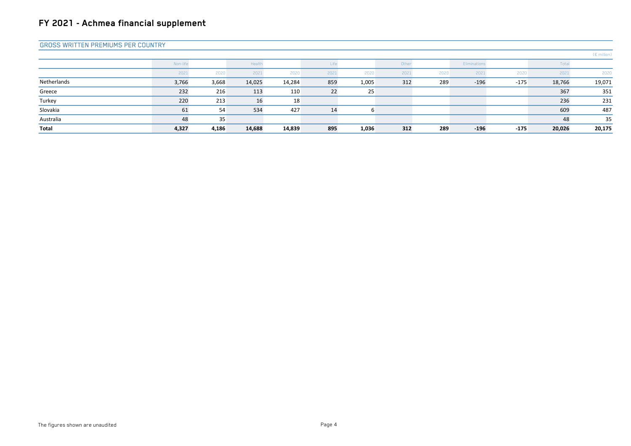#### GROSS WRITTEN PREMIUMS PER COUNTRY

|             |          |       |        |        |      |       |       |      |              |        |        | $(E \text{ million})$ |
|-------------|----------|-------|--------|--------|------|-------|-------|------|--------------|--------|--------|-----------------------|
|             | Non-life |       | Health |        | Life |       | Other |      | Eliminations |        | Total  |                       |
|             | 2021     | 2020  | 2021   | 2020   | 2021 | 2020  | 2021  | 2020 | 2021         | 2020   | 2021   | 2020                  |
| Netherlands | 3,766    | 3,668 | 14,025 | 14,284 | 859  | 1,005 | 312   | 289  | $-196$       | $-175$ | 18,766 | 19,071                |
| Greece      | 232      | 216   | 113    | 110    | 22   | 25    |       |      |              |        | 367    | 351                   |
| Turkey      | 220      | 213   | 16     | 18     |      |       |       |      |              |        | 236    | 231                   |
| Slovakia    | 61       | 54    | 534    | 427    | 14   |       |       |      |              |        | 609    | 487                   |
| Australia   | 48       | 35    |        |        |      |       |       |      |              |        | 48     | 35                    |
| Total       | 4,327    | 4,186 | 14,688 | 14,839 | 895  | 1,036 | 312   | 289  | $-196$       | $-175$ | 20,026 | 20,175                |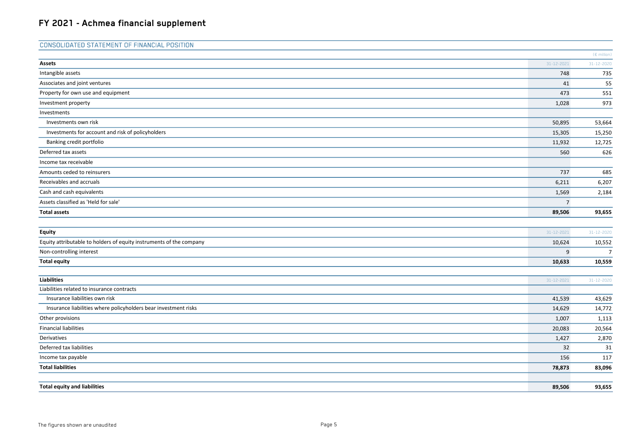| <b>CONSOLIDATED STATEMENT OF FINANCIAL POSITION</b>                 |                |                |
|---------------------------------------------------------------------|----------------|----------------|
|                                                                     |                | (€ million)    |
| <b>Assets</b>                                                       | 31-12-2021     | 31-12-2020     |
| Intangible assets                                                   | 748            | 735            |
| Associates and joint ventures                                       | 41             | 55             |
| Property for own use and equipment                                  | 473            | 551            |
| Investment property                                                 | 1,028          | 973            |
| Investments                                                         |                |                |
| Investments own risk                                                | 50,895         | 53,664         |
| Investments for account and risk of policyholders                   | 15,305         | 15,250         |
| Banking credit portfolio                                            | 11,932         | 12,725         |
| Deferred tax assets                                                 | 560            | 626            |
| Income tax receivable                                               |                |                |
| Amounts ceded to reinsurers                                         | 737            | 685            |
| Receivables and accruals                                            | 6,211          | 6,207          |
| Cash and cash equivalents                                           | 1,569          | 2,184          |
| Assets classified as 'Held for sale'                                | $\overline{7}$ |                |
| <b>Total assets</b>                                                 | 89,506         | 93,655         |
|                                                                     |                |                |
| <b>Equity</b>                                                       | 31-12-2021     | 31-12-2020     |
| Equity attributable to holders of equity instruments of the company | 10,624         | 10,552         |
| Non-controlling interest                                            | 9              | $\overline{7}$ |
| <b>Total equity</b>                                                 | 10,633         | 10,559         |
|                                                                     |                |                |
| <b>Liabilities</b>                                                  | 31-12-2021     | 31-12-2020     |
| Liabilities related to insurance contracts                          |                |                |
| Insurance liabilities own risk                                      | 41,539         | 43,629         |
| Insurance liabilities where policyholders bear investment risks     | 14,629         | 14,772         |
| Other provisions                                                    | 1,007          | 1,113          |
| <b>Financial liabilities</b>                                        | 20,083         | 20,564         |
| Derivatives                                                         | 1,427          | 2,870          |
| Deferred tax liabilities                                            | 32             | 31             |
| Income tax payable                                                  | 156            | 117            |
| <b>Total liabilities</b>                                            | 78,873         | 83,096         |
|                                                                     |                |                |
| <b>Total equity and liabilities</b>                                 | 89,506         | 93,655         |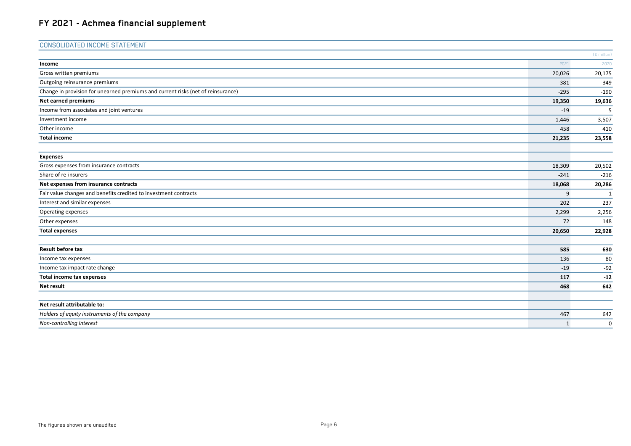| Income<br>Gross written premiums<br>Outgoing reinsurance premiums<br>Change in provision for unearned premiums and current risks (net of reinsurance)<br>Net earned premiums<br>Income from associates and joint ventures | 2021<br>20,026<br>$-381$<br>$-295$<br>19,350<br>$-19$<br>1,446 | $(E \text{ million})$<br>2020<br>20,175<br>$-349$<br>$-190$<br>19,636<br>5 |
|---------------------------------------------------------------------------------------------------------------------------------------------------------------------------------------------------------------------------|----------------------------------------------------------------|----------------------------------------------------------------------------|
|                                                                                                                                                                                                                           |                                                                |                                                                            |
|                                                                                                                                                                                                                           |                                                                |                                                                            |
|                                                                                                                                                                                                                           |                                                                |                                                                            |
|                                                                                                                                                                                                                           |                                                                |                                                                            |
|                                                                                                                                                                                                                           |                                                                |                                                                            |
|                                                                                                                                                                                                                           |                                                                |                                                                            |
|                                                                                                                                                                                                                           |                                                                |                                                                            |
| Investment income                                                                                                                                                                                                         |                                                                | 3,507                                                                      |
| Other income                                                                                                                                                                                                              | 458                                                            | 410                                                                        |
| <b>Total income</b>                                                                                                                                                                                                       | 21,235                                                         | 23,558                                                                     |
| <b>Expenses</b>                                                                                                                                                                                                           |                                                                |                                                                            |
| Gross expenses from insurance contracts                                                                                                                                                                                   | 18,309                                                         | 20,502                                                                     |
| Share of re-insurers                                                                                                                                                                                                      | $-241$                                                         | $-216$                                                                     |
| Net expenses from insurance contracts                                                                                                                                                                                     | 18,068                                                         | 20,286                                                                     |
| Fair value changes and benefits credited to investment contracts                                                                                                                                                          | 9                                                              | 1                                                                          |
| Interest and similar expenses                                                                                                                                                                                             | 202                                                            | 237                                                                        |
| Operating expenses                                                                                                                                                                                                        | 2,299                                                          | 2,256                                                                      |
| Other expenses                                                                                                                                                                                                            | 72                                                             | 148                                                                        |
| <b>Total expenses</b>                                                                                                                                                                                                     | 20,650                                                         | 22,928                                                                     |
| <b>Result before tax</b>                                                                                                                                                                                                  | 585                                                            | 630                                                                        |
| Income tax expenses                                                                                                                                                                                                       | 136                                                            | 80                                                                         |
| Income tax impact rate change                                                                                                                                                                                             | $-19$                                                          | $-92$                                                                      |
| <b>Total income tax expenses</b>                                                                                                                                                                                          | 117                                                            | $-12$                                                                      |
| Net result                                                                                                                                                                                                                | 468                                                            | 642                                                                        |
|                                                                                                                                                                                                                           |                                                                |                                                                            |
| Net result attributable to:                                                                                                                                                                                               |                                                                |                                                                            |
| Holders of equity instruments of the company                                                                                                                                                                              | 467                                                            | 642                                                                        |
| Non-controlling interest                                                                                                                                                                                                  | 1                                                              | 0                                                                          |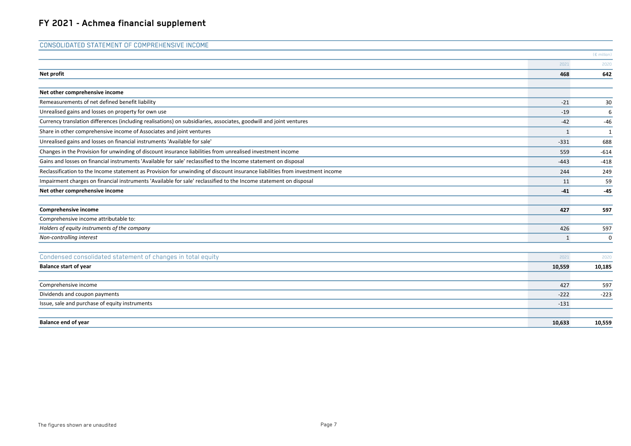| <b>CONSOLIDATED STATEMENT OF COMPREHENSIVE INCOME</b>                                                                        |              |             |
|------------------------------------------------------------------------------------------------------------------------------|--------------|-------------|
|                                                                                                                              |              | (€ million) |
|                                                                                                                              | 2021         | 2020        |
| Net profit                                                                                                                   | 468          | 642         |
| Net other comprehensive income                                                                                               |              |             |
| Remeasurements of net defined benefit liability                                                                              | $-21$        | 30          |
| Unrealised gains and losses on property for own use                                                                          | $-19$        | 6           |
| Currency translation differences (including realisations) on subsidiaries, associates, goodwill and joint ventures           | $-42$        | $-46$       |
| Share in other comprehensive income of Associates and joint ventures                                                         | $\mathbf{1}$ | 1           |
| Unrealised gains and losses on financial instruments 'Available for sale'                                                    | $-331$       | 688         |
| Changes in the Provision for unwinding of discount insurance liabilities from unrealised investment income                   | 559          | $-614$      |
| Gains and losses on financial instruments 'Available for sale' reclassified to the Income statement on disposal              | $-443$       | $-418$      |
| Reclassification to the Income statement as Provision for unwinding of discount insurance liabilities from investment income | 244          | 249         |
| Impairment charges on financial instruments 'Available for sale' reclassified to the Income statement on disposal            | 11           | 59          |
| Net other comprehensive income                                                                                               | $-41$        | $-45$       |
| Comprehensive income                                                                                                         | 427          | 597         |
| Comprehensive income attributable to:                                                                                        |              |             |
| Holders of equity instruments of the company                                                                                 | 426          | 597         |
| Non-controlling interest                                                                                                     | 1            | 0           |
| Condensed consolidated statement of changes in total equity                                                                  | 2021         | 2020        |
| <b>Balance start of year</b>                                                                                                 | 10,559       | 10,185      |
| Comprehensive income                                                                                                         | 427          | 597         |
| Dividends and coupon payments                                                                                                | $-222$       | $-223$      |
| Issue, sale and purchase of equity instruments                                                                               | $-131$       |             |
| <b>Balance end of year</b>                                                                                                   | 10,633       | 10,559      |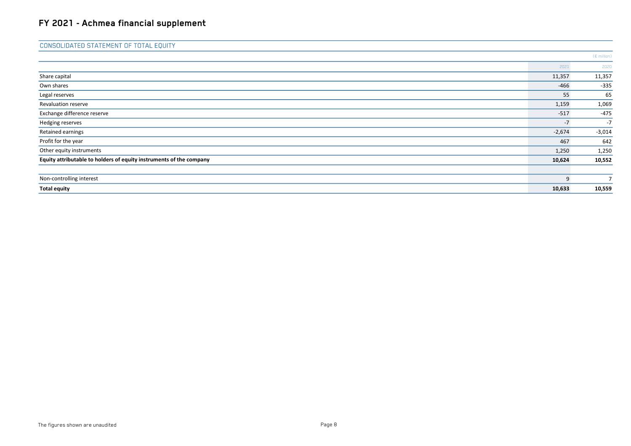#### CONSOLIDATED STATEMENT OF TOTAL EQUITY

|                                                                     |          | $(E \text{ million})$ |
|---------------------------------------------------------------------|----------|-----------------------|
|                                                                     | 2021     | 2020                  |
| Share capital                                                       | 11,357   | 11,357                |
| Own shares                                                          | $-466$   | $-335$                |
| Legal reserves                                                      | 55       | 65                    |
| Revaluation reserve                                                 | 1,159    | 1,069                 |
| Exchange difference reserve                                         | $-517$   | $-475$                |
| Hedging reserves                                                    | $-7$     | $-7$                  |
| Retained earnings                                                   | $-2,674$ | $-3,014$              |
| Profit for the year                                                 | 467      | 642                   |
| Other equity instruments                                            | 1,250    | 1,250                 |
| Equity attributable to holders of equity instruments of the company | 10,624   | 10,552                |
| Non-controlling interest                                            | 9        | $\overline{7}$        |
| <b>Total equity</b>                                                 | 10,633   | 10,559                |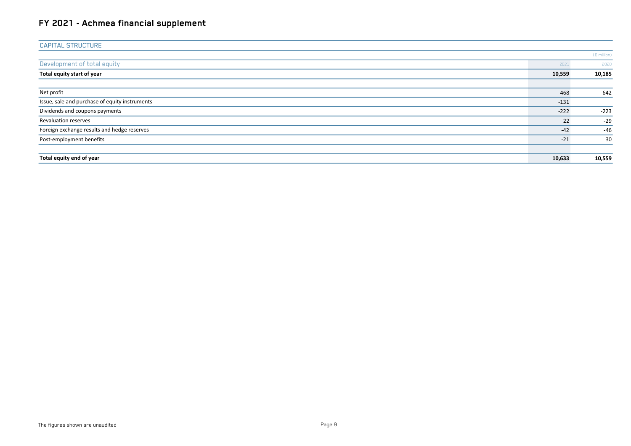| <b>CAPITAL STRUCTURE</b>                       |        |                       |
|------------------------------------------------|--------|-----------------------|
|                                                |        | $(E \text{ million})$ |
| Development of total equity                    | 2021   | 2020                  |
| Total equity start of year                     | 10,559 | 10,185                |
|                                                |        |                       |
| Net profit                                     | 468    | 642                   |
| Issue, sale and purchase of equity instruments | $-131$ |                       |
| Dividends and coupons payments                 | $-222$ | $-223$                |
| Revaluation reserves                           | 22     | $-29$                 |
| Foreign exchange results and hedge reserves    | $-42$  | $-46$                 |
| Post-employment benefits                       | $-21$  | 30                    |
|                                                |        |                       |
| Total equity end of year                       | 10,633 | 10,559                |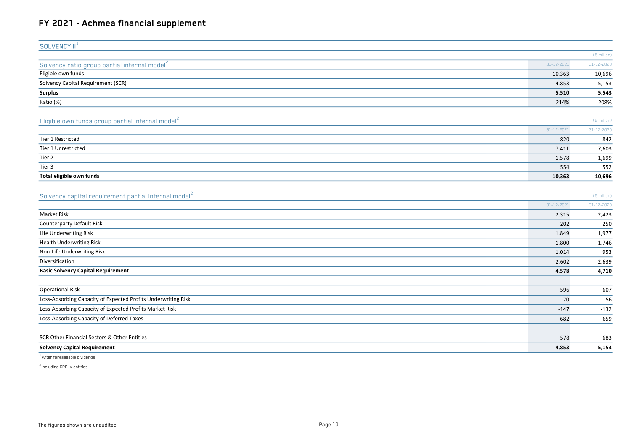| SOLVENCY II <sup>+</sup>                                 |                  |                       |
|----------------------------------------------------------|------------------|-----------------------|
|                                                          |                  | $(E \text{ million})$ |
| Solvency ratio group partial internal model <sup>2</sup> | $31 - 12 - 2021$ | 31-12-2020            |
| Eligible own funds                                       | 10,363           | 10,696                |
| Solvency Capital Requirement (SCR)                       | 4,853            | 5,153                 |
| <b>Surplus</b>                                           | 5,510            | 5,543                 |
| Ratio (%)                                                | 214%             | 208%                  |
|                                                          |                  |                       |

#### Eligible own funds group partial internal model<sup>2</sup>

|                          | 31-12-2021 | 31-12-2020 |
|--------------------------|------------|------------|
| Tier 1 Restricted        | 820        | 842        |
| Tier 1 Unrestricted      | 7,411      | 7,603      |
| Tier 2                   | 1,578      | 1,699      |
| Tier 3                   | 554        | 552        |
| Total eligible own funds | 10,363     | 10,696     |

(€ million)

(€ million)

#### Solvency capital requirement partial internal model<sup>2</sup>

|                                                               | 31-12-2021 | 31-12-2020 |
|---------------------------------------------------------------|------------|------------|
| <b>Market Risk</b>                                            | 2,315      | 2,423      |
| <b>Counterparty Default Risk</b>                              | 202        | 250        |
| Life Underwriting Risk                                        | 1,849      | 1,977      |
| <b>Health Underwriting Risk</b>                               | 1,800      | 1,746      |
| Non-Life Underwriting Risk                                    | 1,014      | 953        |
| Diversification                                               | $-2,602$   | $-2,639$   |
| <b>Basic Solvency Capital Requirement</b>                     | 4,578      | 4,710      |
|                                                               |            |            |
| <b>Operational Risk</b>                                       | 596        | 607        |
| Loss-Absorbing Capacity of Expected Profits Underwriting Risk | $-70$      | $-56$      |
| Loss-Absorbing Capacity of Expected Profits Market Risk       | $-147$     | $-132$     |
| Loss-Absorbing Capacity of Deferred Taxes                     | $-682$     | $-659$     |
|                                                               |            |            |
| SCR Other Financial Sectors & Other Entities                  | 578        | 683        |
| <b>Solvency Capital Requirement</b>                           | 4,853      | 5,153      |

1 After foreseeable dividends

<sup>2</sup> Including CRD IV entities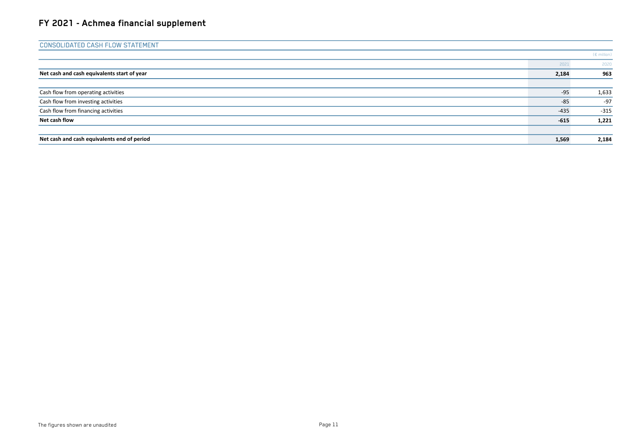| <b>CONSOLIDATED CASH FLOW STATEMENT</b>     |        |                       |
|---------------------------------------------|--------|-----------------------|
|                                             |        | $(E \text{ million})$ |
|                                             | 2021   | 2020                  |
| Net cash and cash equivalents start of year | 2,184  | 963                   |
|                                             |        |                       |
| Cash flow from operating activities         | $-95$  | 1,633                 |
| Cash flow from investing activities         | $-85$  | $-97$                 |
| Cash flow from financing activities         | $-435$ | $-315$                |
| Net cash flow                               | $-615$ | 1,221                 |
|                                             |        |                       |
| Net cash and cash equivalents end of period | 1,569  | 2,184                 |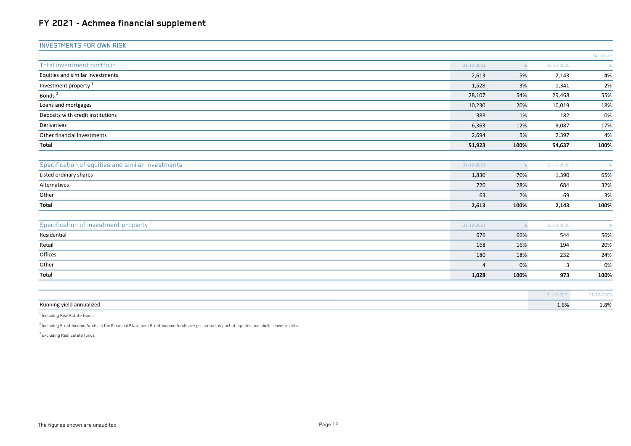| <b>INVESTMENTS FOR OWN RISK</b>                   |                  |      |                  |                       |
|---------------------------------------------------|------------------|------|------------------|-----------------------|
|                                                   |                  |      |                  | $(E \text{ million})$ |
| Total investment portfolio                        | 31-12-2021       | %    | $31 - 12 - 2020$ | $\frac{1}{2}$         |
| Equities and similar investments                  | 2,613            | 5%   | 2,143            | 4%                    |
| Investment property $^1$                          | 1,528            | 3%   | 1,341            | 2%                    |
| Bonds <sup>2</sup>                                | 28,107           | 54%  | 29,468           | 55%                   |
| Loans and mortgages                               | 10,230           | 20%  | 10,019           | 18%                   |
| Deposits with credit institutions                 | 388              | 1%   | 182              | 0%                    |
| Derivatives                                       | 6,363            | 12%  | 9,087            | 17%                   |
| Other financial investments                       | 2,694            | 5%   | 2,397            | 4%                    |
| Total                                             | 51,923           | 100% | 54,637           | 100%                  |
| Specification of equities and similar investments | 31-12-2021       | %    | 31-12-2020       | %                     |
| Listed ordinary shares                            | 1,830            | 70%  | 1,390            | 65%                   |
| Alternatives                                      | 720              | 28%  | 684              | 32%                   |
| Other                                             | 63               | 2%   | 69               | 3%                    |
| Total                                             | 2,613            | 100% | 2,143            | 100%                  |
| Specification of investment property <sup>3</sup> | $31 - 12 - 2021$ | %    | 31-12-2020       | $\frac{9}{6}$         |
| Residential                                       | 676              | 66%  | 544              | 56%                   |
| Retail                                            | 168              | 16%  | 194              | 20%                   |
| Offices                                           | 180              | 18%  | 232              | 24%                   |
| Other                                             | $\Delta$         | 0%   | $\overline{3}$   | 0%                    |
| <b>Total</b>                                      | 1,028            | 100% | 973              | 100%                  |
|                                                   |                  |      |                  |                       |
|                                                   |                  |      | 31-12-2021       | $31 - 12 - 2020$      |
| Running yield annualized                          |                  |      | 1.6%             | 1.8%                  |

 $^{\rm 1}$  Including Real Estate funds

<sup>2</sup> Including Fixed-income funds, in the Financial Statement Fixed-income funds are presented as part of equities and similar investments

<sup>3</sup> Excluding Real Estate funds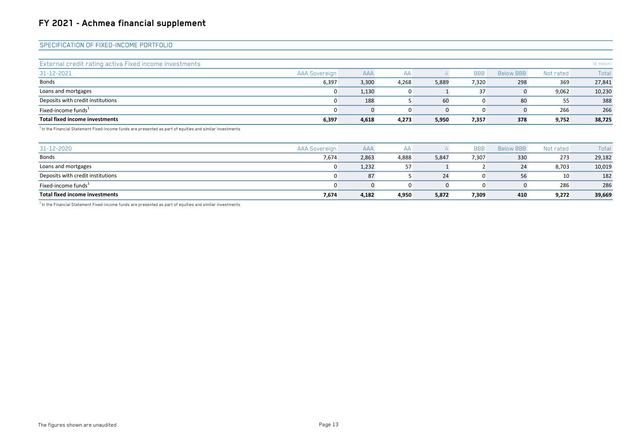#### SPECIFICATION OF FIXED-INCOME PORTFOLIO

| Total fixed income investments                         | 6,397                | 4,618      | 4,273 | 5,950 | 7,357      | 378              | 9,752     | 38,725                |
|--------------------------------------------------------|----------------------|------------|-------|-------|------------|------------------|-----------|-----------------------|
| Fixed-income funds <sup>1</sup>                        |                      |            |       |       | 0          |                  | 266       | 266                   |
| Deposits with credit institutions                      |                      | 188        |       | 60    |            | 80               | 55        | 388                   |
| Loans and mortgages                                    | 0                    | 1,130      |       |       | 37         |                  | 9,062     | 10,230                |
| <b>Bonds</b>                                           | 6,397                | 3,300      | 4,268 | 5,889 | 7,320      | 298              | 369       | 27,841                |
| 31-12-2021                                             | <b>AAA Sovereign</b> | <b>AAA</b> | AA    |       | <b>BBB</b> | <b>Below BBB</b> | Not rated | Total                 |
| External credit rating activa Fixed income investments |                      |            |       |       |            |                  |           | $(E \text{ million})$ |

 $1$ In the Financial Statement Fixed-income funds are presented as part of equities and similar investments

| $31 - 12 - 2020$                  | <b>AAA Sovereign</b> | <b>AAA</b> | AA    |       | <b>BBB</b> | <b>Below BBB</b> | Not rated | Total  |
|-----------------------------------|----------------------|------------|-------|-------|------------|------------------|-----------|--------|
| Bonds                             | 7,674                | 2,863      | 4,888 | 5,847 | 7,307      | 330              | 273       | 29,182 |
| Loans and mortgages               |                      | 1,232      | 57    |       |            | 24               | 8.703     | 10,019 |
| Deposits with credit institutions |                      | 87         |       | 24    | 0          | 56               | 10        | 182    |
| Fixed-income funds <sup>1</sup>   |                      |            |       |       | 0          |                  | 286       | 286    |
| Total fixed income investments    | 7,674                | 4,182      | 4,950 | 5,872 | 7,309      | 410              | 9,272     | 39,669 |

 $1$ In the Financial Statement Fixed-income funds are presented as part of equities and similar investments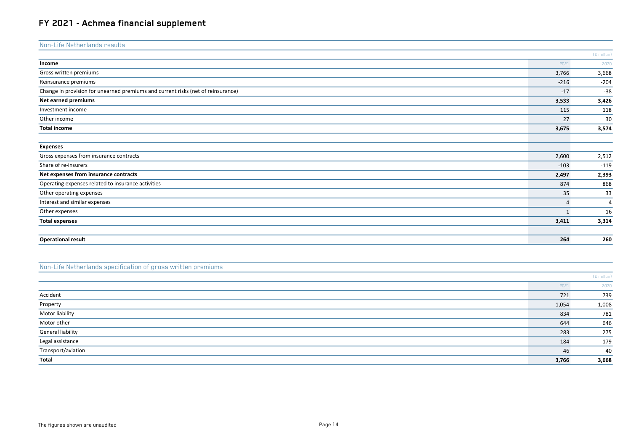| Non-Life Netherlands results                                                     |                |                       |
|----------------------------------------------------------------------------------|----------------|-----------------------|
|                                                                                  |                | $(E \text{ million})$ |
| Income                                                                           | 2021           | 2020                  |
| Gross written premiums                                                           | 3,766          | 3,668                 |
| Reinsurance premiums                                                             | $-216$         | $-204$                |
| Change in provision for unearned premiums and current risks (net of reinsurance) | $-17$          | $-38$                 |
| Net earned premiums                                                              | 3,533          | 3,426                 |
| Investment income                                                                | 115            | 118                   |
| Other income                                                                     | 27             | 30                    |
| <b>Total income</b>                                                              | 3,675          | 3,574                 |
|                                                                                  |                |                       |
| <b>Expenses</b>                                                                  |                |                       |
| Gross expenses from insurance contracts                                          | 2,600          | 2,512                 |
| Share of re-insurers                                                             | $-103$         | $-119$                |
| Net expenses from insurance contracts                                            | 2,497          | 2,393                 |
| Operating expenses related to insurance activities                               | 874            | 868                   |
| Other operating expenses                                                         | 35             | 33                    |
| Interest and similar expenses                                                    | $\overline{4}$ | $\overline{4}$        |
| Other expenses                                                                   | $\mathbf{1}$   | 16                    |
| <b>Total expenses</b>                                                            | 3,411          | 3,314                 |
| <b>Operational result</b>                                                        | 264            | 260                   |

#### Non-Life Netherlands specification of gross written premiums

|                    |       | $(E \text{ million})$ |
|--------------------|-------|-----------------------|
|                    | 2021  | 2020                  |
| Accident           | 721   | 739                   |
| Property           | 1,054 | 1,008                 |
| Motor liability    | 834   | 781                   |
| Motor other        | 644   | 646                   |
| General liability  | 283   | 275                   |
| Legal assistance   | 184   | 179                   |
| Transport/aviation | 46    | 40                    |
| Total              | 3,766 | 3,668                 |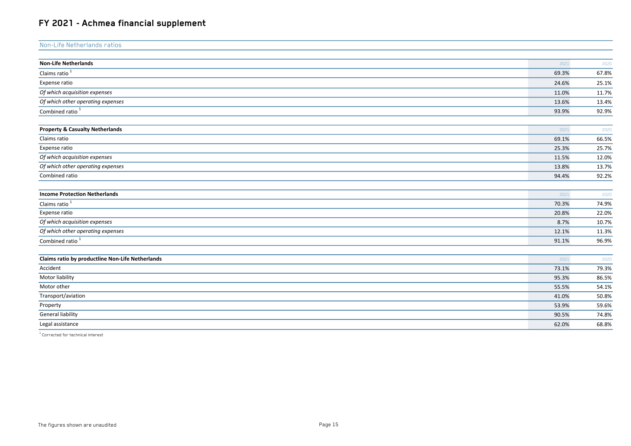| Non-Life Netherlands ratios                      |       |       |
|--------------------------------------------------|-------|-------|
|                                                  |       |       |
| <b>Non-Life Netherlands</b>                      | 2021  | 2020  |
| Claims ratio <sup>1</sup>                        | 69.3% | 67.8% |
| Expense ratio                                    | 24.6% | 25.1% |
| Of which acquisition expenses                    | 11.0% | 11.7% |
| Of which other operating expenses                | 13.6% | 13.4% |
| Combined ratio <sup>1</sup>                      | 93.9% | 92.9% |
|                                                  |       |       |
| <b>Property &amp; Casualty Netherlands</b>       | 2021  | 2020  |
| Claims ratio                                     | 69.1% | 66.5% |
| Expense ratio                                    | 25.3% | 25.7% |
| Of which acquisition expenses                    | 11.5% | 12.0% |
| Of which other operating expenses                | 13.8% | 13.7% |
| Combined ratio                                   | 94.4% | 92.2% |
|                                                  |       |       |
| <b>Income Protection Netherlands</b>             | 2021  | 2020  |
| Claims ratio <sup>1</sup>                        | 70.3% | 74.9% |
| Expense ratio                                    | 20.8% | 22.0% |
| Of which acquisition expenses                    | 8.7%  | 10.7% |
| Of which other operating expenses                | 12.1% | 11.3% |
| Combined ratio <sup>1</sup>                      | 91.1% | 96.9% |
|                                                  |       |       |
| Claims ratio by productline Non-Life Netherlands | 2021  | 2020  |
| Accident                                         | 73.1% | 79.3% |
| Motor liability                                  | 95.3% | 86.5% |
| Motor other                                      | 55.5% | 54.1% |
| Transport/aviation                               | 41.0% | 50.8% |
| Property                                         | 53.9% | 59.6% |
| <b>General liability</b>                         | 90.5% | 74.8% |
| Legal assistance                                 | 62.0% | 68.8% |
|                                                  |       |       |

 $^1$  Corrected for technical interest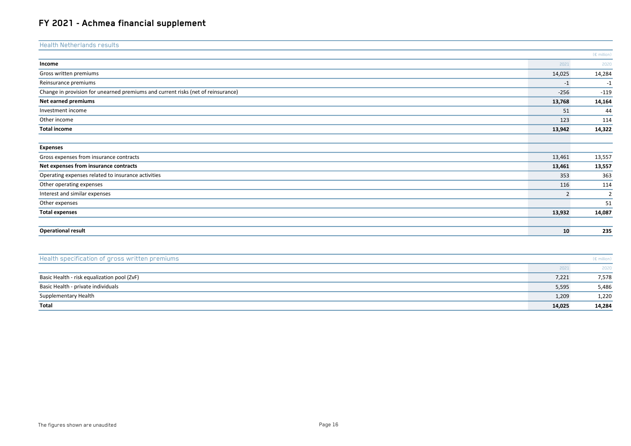| <b>Health Netherlands results</b>                                                |                |                       |
|----------------------------------------------------------------------------------|----------------|-----------------------|
|                                                                                  |                | $(E \text{ million})$ |
| Income                                                                           | 2021           | 2020                  |
| Gross written premiums                                                           | 14,025         | 14,284                |
| Reinsurance premiums                                                             | $-1$           | $-1$                  |
| Change in provision for unearned premiums and current risks (net of reinsurance) | $-256$         | $-119$                |
| Net earned premiums                                                              | 13,768         | 14,164                |
| Investment income                                                                | 51             | 44                    |
| Other income                                                                     | 123            | 114                   |
| <b>Total income</b>                                                              | 13,942         | 14,322                |
|                                                                                  |                |                       |
| <b>Expenses</b>                                                                  |                |                       |
| Gross expenses from insurance contracts                                          | 13,461         | 13,557                |
| Net expenses from insurance contracts                                            | 13,461         | 13,557                |
| Operating expenses related to insurance activities                               | 353            | 363                   |
| Other operating expenses                                                         | 116            | 114                   |
| Interest and similar expenses                                                    | $\overline{2}$ | $\overline{2}$        |
| Other expenses                                                                   |                | 51                    |
| <b>Total expenses</b>                                                            | 13,932         | 14,087                |
| <b>Operational result</b>                                                        | 10             | 235                   |

| Health specification of gross written premiums |        | $(E \text{ million})$ |
|------------------------------------------------|--------|-----------------------|
|                                                | 2021   | 2020                  |
| Basic Health - risk equalization pool (ZvF)    | 7,221  | 7,578                 |
| Basic Health - private individuals             | 5,595  | 5,486                 |
| Supplementary Health                           | 1,209  | 1,220                 |
| Total                                          | 14,025 | 14,284                |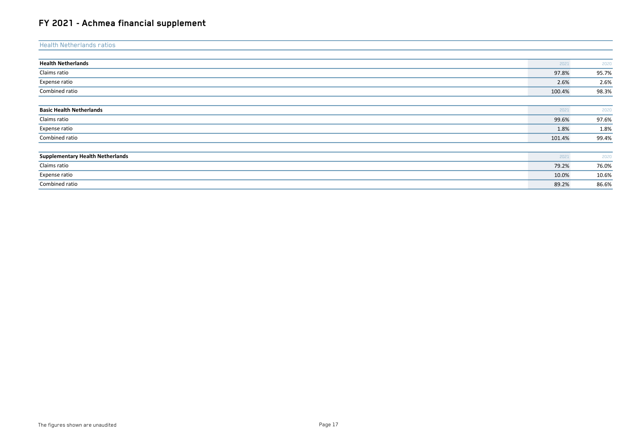| <b>Health Netherlands ratios</b>        |        |       |
|-----------------------------------------|--------|-------|
|                                         |        |       |
| <b>Health Netherlands</b>               | 2021   | 2020  |
| Claims ratio                            | 97.8%  | 95.7% |
| Expense ratio                           | 2.6%   | 2.6%  |
| Combined ratio                          | 100.4% | 98.3% |
|                                         |        |       |
| <b>Basic Health Netherlands</b>         | 2021   | 2020  |
| Claims ratio                            | 99.6%  | 97.6% |
| Expense ratio                           | 1.8%   | 1.8%  |
| Combined ratio                          | 101.4% | 99.4% |
|                                         |        |       |
| <b>Supplementary Health Netherlands</b> | 2021   | 2020  |
| Claims ratio                            | 79.2%  | 76.0% |
| Expense ratio                           | 10.0%  | 10.6% |
| Combined ratio                          | 89.2%  | 86.6% |
|                                         |        |       |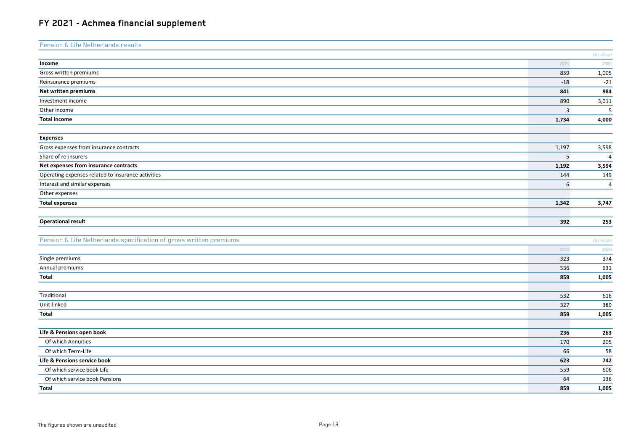| Pension & Life Netherlands results                                 |                |                         |
|--------------------------------------------------------------------|----------------|-------------------------|
|                                                                    |                | $(E \text{ million})$   |
| Income                                                             | 2021           | 2020                    |
| Gross written premiums                                             | 859            | 1,005                   |
| Reinsurance premiums                                               | $\mbox{-}18$   | $-21$                   |
| Net written premiums                                               | 841            | 984                     |
| Investment income                                                  | 890            | 3,011                   |
| Other income                                                       | $\overline{3}$ | $\overline{\mathbf{5}}$ |
| <b>Total income</b>                                                | 1,734          | 4,000                   |
|                                                                    |                |                         |
| <b>Expenses</b>                                                    |                |                         |
| Gross expenses from insurance contracts                            | 1,197          | 3,598                   |
| Share of re-insurers                                               | $-5$           | $-4$                    |
| Net expenses from insurance contracts                              | 1,192          | 3,594                   |
| Operating expenses related to insurance activities                 | 144            | 149                     |
| Interest and similar expenses                                      | 6              | $\overline{4}$          |
| Other expenses                                                     |                |                         |
| <b>Total expenses</b>                                              | 1,342          | 3,747                   |
|                                                                    |                |                         |
| <b>Operational result</b>                                          | 392            | 253                     |
|                                                                    |                |                         |
| Pension & Life Netherlands specification of gross written premiums |                | (€ million)             |
|                                                                    | 2021           | 2020                    |
| Single premiums                                                    | 323            | 374                     |
| Annual premiums                                                    | 536            | 631                     |
| Total                                                              | 859            | 1,005                   |
|                                                                    |                |                         |
| Traditional                                                        | 532            | 616                     |
| Unit-linked                                                        | 327            | 389                     |
| Total                                                              | 859            | 1,005                   |
|                                                                    |                |                         |
| Life & Pensions open book                                          | 236            | 263                     |
| Of which Annuities                                                 | 170            | 205                     |
| Of which Term-Life                                                 | 66             | 58                      |
| Life & Pensions service book                                       | 623            | 742                     |
| Of which service book Life                                         | 559            | 606                     |
| Of which service book Pensions                                     | 64             | 136                     |
| Total                                                              | 859            | 1,005                   |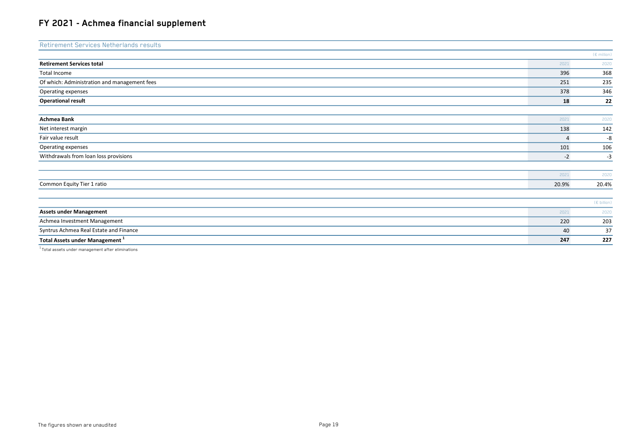| Retirement Services Netherlands results                                                                                                                                                                                                                                                                                                                                                                                                                    |                |                       |
|------------------------------------------------------------------------------------------------------------------------------------------------------------------------------------------------------------------------------------------------------------------------------------------------------------------------------------------------------------------------------------------------------------------------------------------------------------|----------------|-----------------------|
|                                                                                                                                                                                                                                                                                                                                                                                                                                                            |                | $(E \text{ million})$ |
| <b>Retirement Services total</b>                                                                                                                                                                                                                                                                                                                                                                                                                           | 2021           | 2020                  |
| Total Income                                                                                                                                                                                                                                                                                                                                                                                                                                               | 396            | 368                   |
| Of which: Administration and management fees                                                                                                                                                                                                                                                                                                                                                                                                               | 251            | 235                   |
| Operating expenses                                                                                                                                                                                                                                                                                                                                                                                                                                         | 378            | 346                   |
| <b>Operational result</b>                                                                                                                                                                                                                                                                                                                                                                                                                                  | 18             | 22                    |
|                                                                                                                                                                                                                                                                                                                                                                                                                                                            |                |                       |
| Achmea Bank                                                                                                                                                                                                                                                                                                                                                                                                                                                | 2021           | 2020                  |
| Net interest margin                                                                                                                                                                                                                                                                                                                                                                                                                                        | 138            | 142                   |
| Fair value result                                                                                                                                                                                                                                                                                                                                                                                                                                          | $\overline{4}$ | -8                    |
| Operating expenses                                                                                                                                                                                                                                                                                                                                                                                                                                         | 101            | 106                   |
| Withdrawals from loan loss provisions                                                                                                                                                                                                                                                                                                                                                                                                                      | $-2$           | $-3$                  |
|                                                                                                                                                                                                                                                                                                                                                                                                                                                            |                |                       |
|                                                                                                                                                                                                                                                                                                                                                                                                                                                            | 2021           | 2020                  |
| Common Equity Tier 1 ratio                                                                                                                                                                                                                                                                                                                                                                                                                                 | 20.9%          | 20.4%                 |
|                                                                                                                                                                                                                                                                                                                                                                                                                                                            |                |                       |
|                                                                                                                                                                                                                                                                                                                                                                                                                                                            |                | (€ billion)           |
| <b>Assets under Management</b>                                                                                                                                                                                                                                                                                                                                                                                                                             | 2021           | 2020                  |
| Achmea Investment Management                                                                                                                                                                                                                                                                                                                                                                                                                               | 220            | 203                   |
| Syntrus Achmea Real Estate and Finance                                                                                                                                                                                                                                                                                                                                                                                                                     | 40             | 37                    |
| <b>Total Assets under Management</b> <sup>1</sup>                                                                                                                                                                                                                                                                                                                                                                                                          | 247            | 227                   |
| $\mathbf{1} = \mathbf{1} \cdot \mathbf{1} + \mathbf{1} \cdot \mathbf{1} + \mathbf{1} \cdot \mathbf{1} + \mathbf{1} \cdot \mathbf{1} + \mathbf{1} \cdot \mathbf{1} + \mathbf{1} \cdot \mathbf{1} + \mathbf{1} \cdot \mathbf{1} + \mathbf{1} \cdot \mathbf{1} + \mathbf{1} \cdot \mathbf{1} + \mathbf{1} \cdot \mathbf{1} + \mathbf{1} \cdot \mathbf{1} + \mathbf{1} \cdot \mathbf{1} + \mathbf{1} \cdot \mathbf{1} + \mathbf{1} \cdot \mathbf{1} + \mathbf$ |                |                       |

 $1$ Total assets under management after eliminations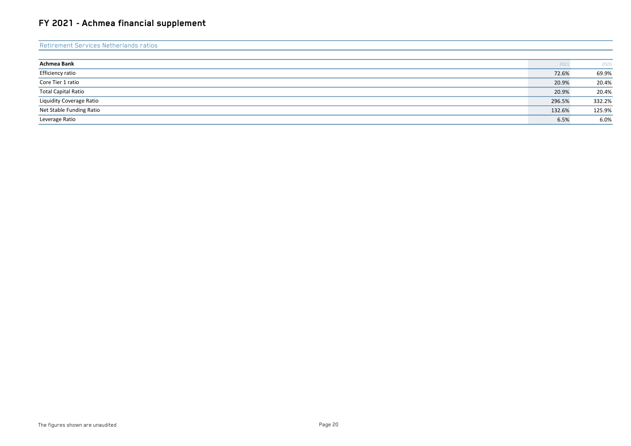| Retirement Services Netherlands ratios |        |        |
|----------------------------------------|--------|--------|
|                                        |        |        |
| Achmea Bank                            | 2021   | 2020   |
| Efficiency ratio                       | 72.6%  | 69.9%  |
| Core Tier 1 ratio                      | 20.9%  | 20.4%  |
| <b>Total Capital Ratio</b>             | 20.9%  | 20.4%  |
| Liquidity Coverage Ratio               | 296.5% | 332.2% |
| Net Stable Funding Ratio               | 132.6% | 125.9% |
| Leverage Ratio                         | 6.5%   | 6.0%   |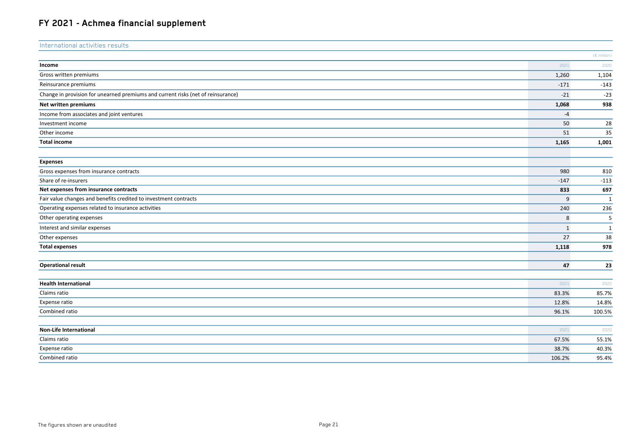| International activities results                                                 |              |                |
|----------------------------------------------------------------------------------|--------------|----------------|
|                                                                                  |              | (€ million)    |
| Income                                                                           | 2021         | 2020           |
| Gross written premiums                                                           | 1,260        | 1,104          |
| Reinsurance premiums                                                             | $-171$       | $-143$         |
| Change in provision for unearned premiums and current risks (net of reinsurance) | $-21$        | $-23$          |
| Net written premiums                                                             | 1,068        | 938            |
| Income from associates and joint ventures                                        | $-4$         |                |
| Investment income                                                                | 50           | 28             |
| Other income                                                                     | 51           | 35             |
| <b>Total income</b>                                                              | 1,165        | 1,001          |
|                                                                                  |              |                |
| <b>Expenses</b><br>Gross expenses from insurance contracts                       | 980          | 810            |
| Share of re-insurers                                                             | $-147$       | $-113$         |
| Net expenses from insurance contracts                                            | 833          | 697            |
| Fair value changes and benefits credited to investment contracts                 | 9            | $\mathbf{1}$   |
| Operating expenses related to insurance activities                               | 240          | 236            |
| Other operating expenses                                                         | 8            | 5              |
| Interest and similar expenses                                                    | $\mathbf{1}$ | 1              |
| Other expenses                                                                   | 27           | 38             |
| <b>Total expenses</b>                                                            | 1,118        | 978            |
|                                                                                  |              |                |
| <b>Operational result</b>                                                        | 47           | 23             |
| <b>Health International</b>                                                      | 2021         | 2020           |
| Claims ratio                                                                     | 83.3%        | 85.7%          |
| Expense ratio                                                                    | 12.8%        | 14.8%          |
| Combined ratio                                                                   | 96.1%        | 100.5%         |
| Non-Life International                                                           | 2021         | 2020           |
| Claims ratio                                                                     | 67.5%        |                |
| Expense ratio                                                                    | 38.7%        | 55.1%<br>40.3% |
| Combined ratio                                                                   | 106.2%       | 95.4%          |
|                                                                                  |              |                |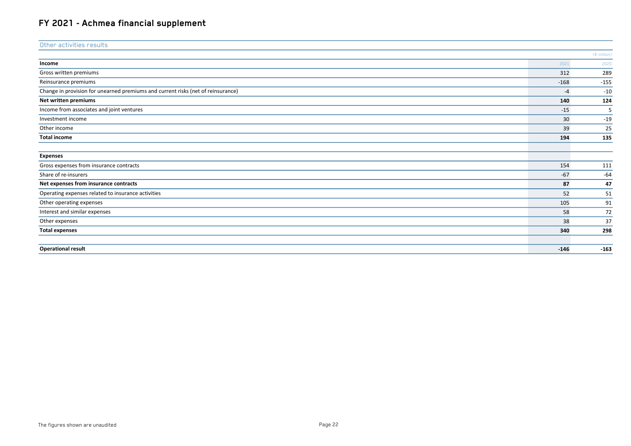| Other activities results                                                         |        |                       |
|----------------------------------------------------------------------------------|--------|-----------------------|
|                                                                                  |        | $(E \text{ million})$ |
| Income                                                                           | 2021   | 2020                  |
| Gross written premiums                                                           | 312    | 289                   |
| Reinsurance premiums                                                             | $-168$ | $-155$                |
| Change in provision for unearned premiums and current risks (net of reinsurance) | $-4$   | $-10$                 |
| Net written premiums                                                             | 140    | 124                   |
| Income from associates and joint ventures                                        | $-15$  | 5                     |
| Investment income                                                                | 30     | $-19$                 |
| Other income                                                                     | 39     | 25                    |
| <b>Total income</b>                                                              | 194    | 135                   |
|                                                                                  |        |                       |
| <b>Expenses</b>                                                                  |        |                       |
| Gross expenses from insurance contracts                                          | 154    | 111                   |
| Share of re-insurers                                                             | $-67$  | $-64$                 |
| Net expenses from insurance contracts                                            | 87     | 47                    |
| Operating expenses related to insurance activities                               | 52     | 51                    |
| Other operating expenses                                                         | 105    | 91                    |
| Interest and similar expenses                                                    | 58     | 72                    |
| Other expenses                                                                   | 38     | 37                    |
| <b>Total expenses</b>                                                            | 340    | 298                   |
| <b>Operational result</b>                                                        | $-146$ | $-163$                |